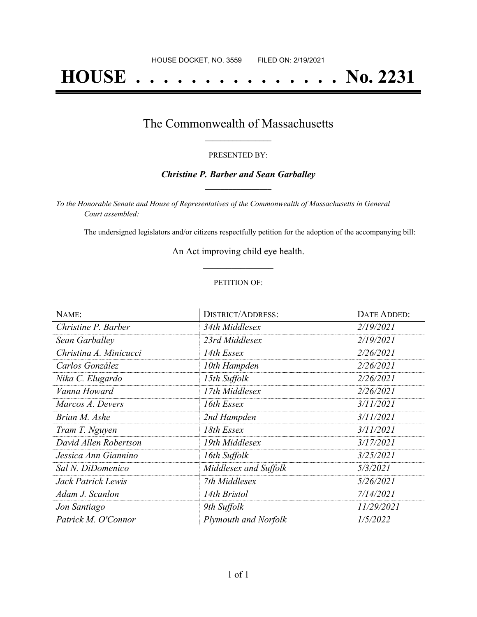# **HOUSE . . . . . . . . . . . . . . . No. 2231**

### The Commonwealth of Massachusetts **\_\_\_\_\_\_\_\_\_\_\_\_\_\_\_\_\_**

#### PRESENTED BY:

#### *Christine P. Barber and Sean Garballey* **\_\_\_\_\_\_\_\_\_\_\_\_\_\_\_\_\_**

*To the Honorable Senate and House of Representatives of the Commonwealth of Massachusetts in General Court assembled:*

The undersigned legislators and/or citizens respectfully petition for the adoption of the accompanying bill:

An Act improving child eye health. **\_\_\_\_\_\_\_\_\_\_\_\_\_\_\_**

#### PETITION OF:

| NAME:                  | <b>DISTRICT/ADDRESS:</b>    | DATE ADDED: |
|------------------------|-----------------------------|-------------|
| Christine P. Barber    | 34th Middlesex              | 2/19/2021   |
| Sean Garballey         | 23rd Middlesex              | 2/19/2021   |
| Christina A. Minicucci | 14th Essex                  | 2/26/2021   |
| Carlos González        | 10th Hampden                | 2/26/2021   |
| Nika C. Elugardo       | 15th Suffolk                | 2/26/2021   |
| Vanna Howard           | 17th Middlesex              | 2/26/2021   |
| Marcos A. Devers       | 16th Essex                  | 3/11/2021   |
| Brian M. Ashe          | 2nd Hampden                 | 3/11/2021   |
| Tram T. Nguyen         | 18th Essex                  | 3/11/2021   |
| David Allen Robertson  | 19th Middlesex              | 3/17/2021   |
| Jessica Ann Giannino   | 16th Suffolk                | 3/25/2021   |
| Sal N. DiDomenico      | Middlesex and Suffolk       | 5/3/2021    |
| Jack Patrick Lewis     | 7th Middlesex               | 5/26/2021   |
| Adam J. Scanlon        | 14th Bristol                | 7/14/2021   |
| Jon Santiago           | 9th Suffolk                 | 11/29/2021  |
| Patrick M. O'Connor    | <b>Plymouth and Norfolk</b> | 1/5/2022    |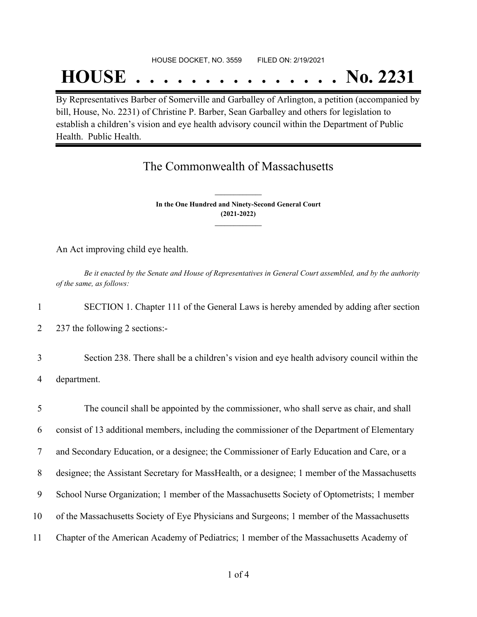#### HOUSE DOCKET, NO. 3559 FILED ON: 2/19/2021

## **HOUSE . . . . . . . . . . . . . . . No. 2231**

By Representatives Barber of Somerville and Garballey of Arlington, a petition (accompanied by bill, House, No. 2231) of Christine P. Barber, Sean Garballey and others for legislation to establish a children's vision and eye health advisory council within the Department of Public Health. Public Health.

## The Commonwealth of Massachusetts

**In the One Hundred and Ninety-Second General Court (2021-2022) \_\_\_\_\_\_\_\_\_\_\_\_\_\_\_**

**\_\_\_\_\_\_\_\_\_\_\_\_\_\_\_**

An Act improving child eye health.

Be it enacted by the Senate and House of Representatives in General Court assembled, and by the authority *of the same, as follows:*

1 SECTION 1. Chapter 111 of the General Laws is hereby amended by adding after section

2 237 the following 2 sections:-

3 Section 238. There shall be a children's vision and eye health advisory council within the 4 department.

 The council shall be appointed by the commissioner, who shall serve as chair, and shall consist of 13 additional members, including the commissioner of the Department of Elementary and Secondary Education, or a designee; the Commissioner of Early Education and Care, or a designee; the Assistant Secretary for MassHealth, or a designee; 1 member of the Massachusetts School Nurse Organization; 1 member of the Massachusetts Society of Optometrists; 1 member of the Massachusetts Society of Eye Physicians and Surgeons; 1 member of the Massachusetts Chapter of the American Academy of Pediatrics; 1 member of the Massachusetts Academy of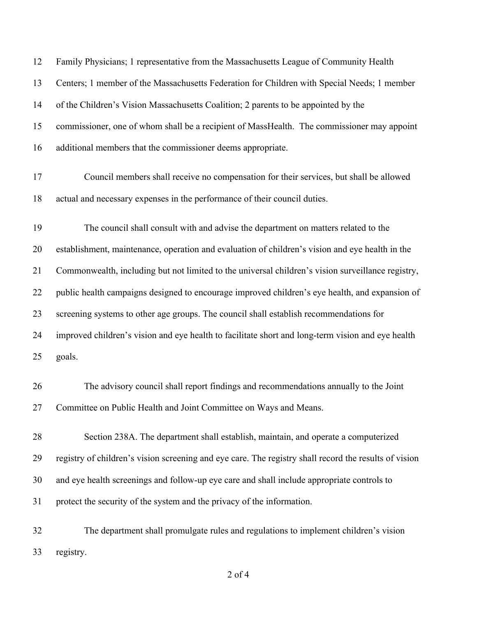| 12 | Family Physicians; 1 representative from the Massachusetts League of Community Health                 |
|----|-------------------------------------------------------------------------------------------------------|
| 13 | Centers; 1 member of the Massachusetts Federation for Children with Special Needs; 1 member           |
| 14 | of the Children's Vision Massachusetts Coalition; 2 parents to be appointed by the                    |
| 15 | commissioner, one of whom shall be a recipient of MassHealth. The commissioner may appoint            |
| 16 | additional members that the commissioner deems appropriate.                                           |
| 17 | Council members shall receive no compensation for their services, but shall be allowed                |
| 18 | actual and necessary expenses in the performance of their council duties.                             |
| 19 | The council shall consult with and advise the department on matters related to the                    |
| 20 | establishment, maintenance, operation and evaluation of children's vision and eye health in the       |
| 21 | Commonwealth, including but not limited to the universal children's vision surveillance registry,     |
| 22 | public health campaigns designed to encourage improved children's eye health, and expansion of        |
| 23 | screening systems to other age groups. The council shall establish recommendations for                |
| 24 | improved children's vision and eye health to facilitate short and long-term vision and eye health     |
| 25 | goals.                                                                                                |
| 26 | The advisory council shall report findings and recommendations annually to the Joint                  |
| 27 | Committee on Public Health and Joint Committee on Ways and Means.                                     |
| 28 | Section 238A. The department shall establish, maintain, and operate a computerized                    |
| 29 | registry of children's vision screening and eye care. The registry shall record the results of vision |
| 30 | and eye health screenings and follow-up eye care and shall include appropriate controls to            |
| 31 | protect the security of the system and the privacy of the information.                                |
| 32 | The department shall promulgate rules and regulations to implement children's vision                  |

registry.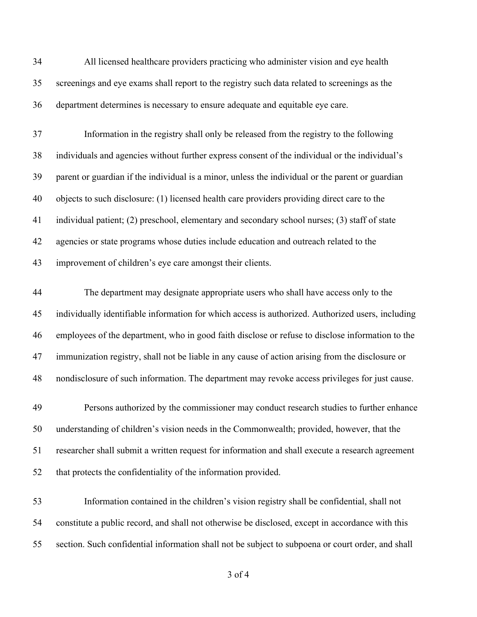All licensed healthcare providers practicing who administer vision and eye health screenings and eye exams shall report to the registry such data related to screenings as the department determines is necessary to ensure adequate and equitable eye care.

 Information in the registry shall only be released from the registry to the following individuals and agencies without further express consent of the individual or the individual's parent or guardian if the individual is a minor, unless the individual or the parent or guardian objects to such disclosure: (1) licensed health care providers providing direct care to the individual patient; (2) preschool, elementary and secondary school nurses; (3) staff of state agencies or state programs whose duties include education and outreach related to the improvement of children's eye care amongst their clients.

 The department may designate appropriate users who shall have access only to the individually identifiable information for which access is authorized. Authorized users, including employees of the department, who in good faith disclose or refuse to disclose information to the immunization registry, shall not be liable in any cause of action arising from the disclosure or nondisclosure of such information. The department may revoke access privileges for just cause.

 Persons authorized by the commissioner may conduct research studies to further enhance understanding of children's vision needs in the Commonwealth; provided, however, that the researcher shall submit a written request for information and shall execute a research agreement that protects the confidentiality of the information provided.

 Information contained in the children's vision registry shall be confidential, shall not constitute a public record, and shall not otherwise be disclosed, except in accordance with this section. Such confidential information shall not be subject to subpoena or court order, and shall

of 4